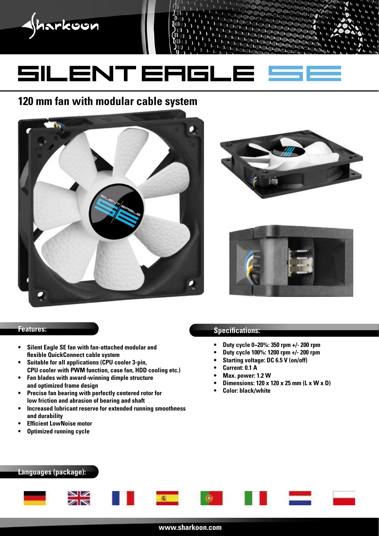

# **120 mm fan with modular cable system**







- **• Silent Eagle SE fan with fan-attached modular and flexible QuickConnect cable system**
- **• Suitable for all applications (CPU cooler 3-pin, CPU cooler with PWM function, case fan, HDD cooling etc.)**
- **• Fan blades with award-winning dimple structure and optimized frame design**
- **• Precise fan bearing with perfectly centered rotor for low friction and abrasion of bearing and shaft**
- **• Increased lubricant reserve for extended running smoothness and durability**
- *<u>Efficient LowNoise motor</u>*
- **• Optimized running cycle**

## **Features: Specifications: Specifications:**

- **• Duty cycle 0~20%: 350 rpm +/- 200 rpm**
- **• Duty cycle 100%: 1200 rpm +/- 200 rpm**
- **• Starting voltage: DC 6.5 V (on/off)**
- **• Current: 0.1 A**
- **• Max. power: 1.2 W**
- **• Dimensions: 120 x 120 x 25 mm (L x W x D)**
- **• Color: black/white**

### **Languages (package):**

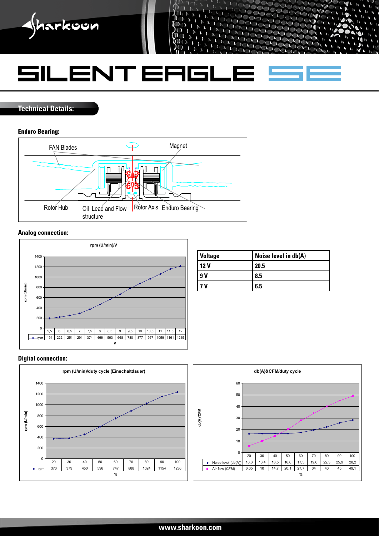

**Technical Details:**

#### **Enduro Bearing:**



#### **Analog connection:**



| <b>Voltage</b>  | Noise level in db(A) |
|-----------------|----------------------|
| 12 <sub>V</sub> | 20.5                 |
| 9 V             | 8.5                  |
| ν               | 6.5                  |

#### **Digital connection:**